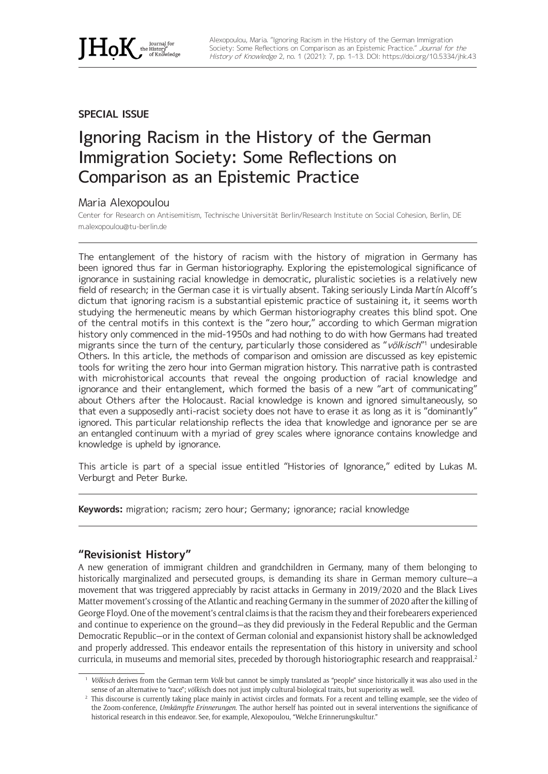

# **SPECIAL ISSUE**

# Ignoring Racism in the History of the German Immigration Society: Some Reflections on Comparison as an Epistemic Practice

## Maria Alexopoulou

Center for Research on Antisemitism, Technische Universität Berlin/Research Institute on Social Cohesion, Berlin, DE [m.alexopoulou@tu-berlin.de](mailto:m.alexopoulou@tu-berlin.de)

The entanglement of the history of racism with the history of migration in Germany has been ignored thus far in German historiography. Exploring the epistemological significance of ignorance in sustaining racial knowledge in democratic, pluralistic societies is a relatively new field of research; in the German case it is virtually absent. Taking seriously Linda Martín Alcoff's dictum that ignoring racism is a substantial epistemic practice of sustaining it, it seems worth studying the hermeneutic means by which German historiography creates this blind spot. One of the central motifs in this context is the "zero hour," according to which German migration history only commenced in the mid-1950s and had nothing to do with how Germans had treated migrants since the turn of the century, particularly those considered as "völkisch"<sup>1</sup> undesirable Others. In this article, the methods of comparison and omission are discussed as key epistemic tools for writing the zero hour into German migration history. This narrative path is contrasted with microhistorical accounts that reveal the ongoing production of racial knowledge and ignorance and their entanglement, which formed the basis of a new "art of communicating" about Others after the Holocaust. Racial knowledge is known and ignored simultaneously, so that even a supposedly anti-racist society does not have to erase it as long as it is "dominantly" ignored. This particular relationship reflects the idea that knowledge and ignorance per se are an entangled continuum with a myriad of grey scales where ignorance contains knowledge and knowledge is upheld by ignorance.

This article is part of a special issue entitled "Histories of Ignorance," edited by Lukas M. Verburgt and Peter Burke.

**Keywords:** migration; racism; zero hour; Germany; ignorance; racial knowledge

# **"Revisionist History"**

A new generation of immigrant children and grandchildren in Germany, many of them belonging to historically marginalized and persecuted groups, is demanding its share in German memory culture—a movement that was triggered appreciably by racist attacks in Germany in 2019/2020 and the Black Lives Matter movement's crossing of the Atlantic and reaching Germany in the summer of 2020 after the killing of George Floyd. One of the movement's central claims is that the racism they and their forebearers experienced and continue to experience on the ground—as they did previously in the Federal Republic and the German Democratic Republic—or in the context of German colonial and expansionist history shall be acknowledged and properly addressed. This endeavor entails the representation of this history in university and school curricula, in museums and memorial sites, preceded by thorough historiographic research and reappraisal.2

<sup>&</sup>lt;sup>1</sup> Völkisch derives from the German term Volk but cannot be simply translated as "people" since historically it was also used in the sense of an alternative to "race"; *völkisc*h does not just imply cultural-biological traits, but superiority as well.

<sup>&</sup>lt;sup>2</sup> This discourse is currently taking place mainly in activist circles and formats. For a recent and telling example, see the video of the Zoom-conference, *Umkämpfte Erinnerungen*. The author herself has pointed out in several interventions the significance of historical research in this endeavor. See, for example, Alexopoulou, "Welche Erinnerungskultur."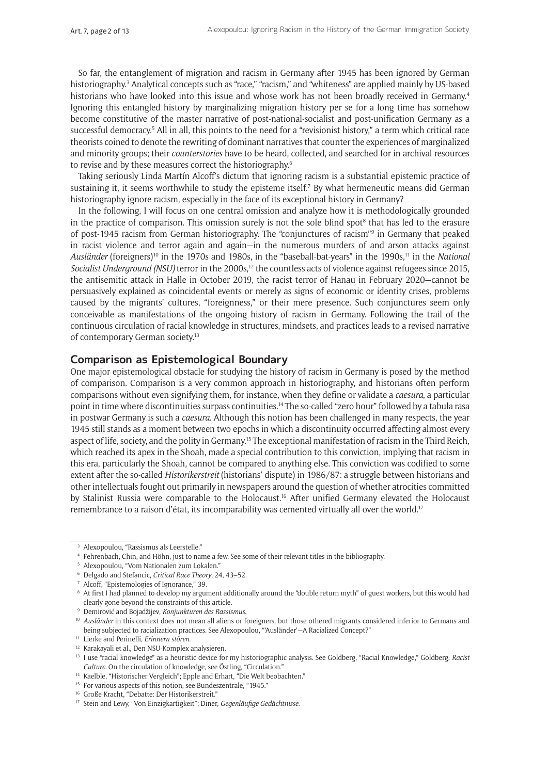So far, the entanglement of migration and racism in Germany after 1945 has been ignored by German historiography.<sup>3</sup> Analytical concepts such as "race," "racism," and "whiteness" are applied mainly by US-based historians who have looked into this issue and whose work has not been broadly received in Germany.<sup>4</sup> Ignoring this entangled history by marginalizing migration history per se for a long time has somehow become constitutive of the master narrative of post-national-socialist and post-unification Germany as a successful democracy.<sup>5</sup> All in all, this points to the need for a "revisionist history," a term which critical race theorists coined to denote the rewriting of dominant narratives that counter the experiences of marginalized and minority groups; their *counterstories* have to be heard, collected, and searched for in archival resources to revise and by these measures correct the historiography.<sup>6</sup>

Taking seriously Linda Martín Alcoff's dictum that ignoring racism is a substantial epistemic practice of sustaining it, it seems worthwhile to study the episteme itself.7 By what hermeneutic means did German historiography ignore racism, especially in the face of its exceptional history in Germany?

In the following, I will focus on one central omission and analyze how it is methodologically grounded in the practice of comparison. This omission surely is not the sole blind spot<sup>8</sup> that has led to the erasure of post-1945 racism from German historiography. The "conjunctures of racism"9 in Germany that peaked in racist violence and terror again and again—in the numerous murders of and arson attacks against *Ausländer* (foreigners)10 in the 1970s and 1980s, in the "baseball-bat-years" in the 1990s,11 in the *National Socialist Underground (NSU)* terror in the 2000s,<sup>12</sup> the countless acts of violence against refugees since 2015, the antisemitic attack in Halle in October 2019, the racist terror of Hanau in February 2020—cannot be persuasively explained as coincidental events or merely as signs of economic or identity crises, problems caused by the migrants' cultures, "foreignness," or their mere presence. Such conjunctures seem only conceivable as manifestations of the ongoing history of racism in Germany. Following the trail of the continuous circulation of racial knowledge in structures, mindsets, and practices leads to a revised narrative of contemporary German society.13

# **Comparison as Epistemological Boundary**

One major epistemological obstacle for studying the history of racism in Germany is posed by the method of comparison. Comparison is a very common approach in historiography, and historians often perform comparisons without even signifying them, for instance, when they define or validate a *caesura*, a particular point in time where discontinuities surpass continuities.14 The so-called "zero hour" followed by a tabula rasa in postwar Germany is such a *caesura*. Although this notion has been challenged in many respects, the year 1945 still stands as a moment between two epochs in which a discontinuity occurred affecting almost every aspect of life, society, and the polity in Germany.15 The exceptional manifestation of racism in the Third Reich, which reached its apex in the Shoah, made a special contribution to this conviction, implying that racism in this era, particularly the Shoah, cannot be compared to anything else. This conviction was codified to some extent after the so-called *Historikerstreit* (historians' dispute) in 1986/87: a struggle between historians and other intellectuals fought out primarily in newspapers around the question of whether atrocities committed by Stalinist Russia were comparable to the Holocaust.16 After unified Germany elevated the Holocaust remembrance to a raison d'état, its incomparability was cemented virtually all over the world.<sup>17</sup>

<sup>3</sup> Alexopoulou, "Rassismus als Leerstelle."

<sup>4</sup> Fehrenbach, Chin, and Höhn, just to name a few. See some of their relevant titles in the bibliography.

<sup>5</sup> Alexopoulou, "Vom Nationalen zum Lokalen."

<sup>6</sup> Delgado and Stefancic, *Critical Race Theory*, 24, 43–52.

<sup>7</sup> Alcoff, "Epistemologies of Ignorance," 39.

<sup>8</sup> At first I had planned to develop my argument additionally around the "double return myth" of guest workers, but this would had clearly gone beyond the constraints of this article.

<sup>9</sup> Demirović and Bojadžijev, *Konjunkturen des Rassismus*.

<sup>&</sup>lt;sup>10</sup> *Ausländer* in this context does not mean all aliens or foreigners, but those othered migrants considered inferior to Germans and being subjected to racialization practices. See Alexopoulou, "'Ausländer'—A Racialized Concept?"

<sup>11</sup> Lierke and Perinelli, *Erinnern stören*.

<sup>12</sup> Karakayali et al., Den NSU-Komplex analysieren.

<sup>13</sup> I use "racial knowledge" as a heuristic device for my historiographic analysis. See Goldberg, "Racial Knowledge," Goldberg, *Racist Culture*. On the circulation of knowledge, see Östling, "Circulation."

<sup>&</sup>lt;sup>14</sup> Kaelble, "Historischer Vergleich"; Epple and Erhart, "Die Welt beobachten."

<sup>&</sup>lt;sup>15</sup> For various aspects of this notion, see Bundeszentrale, "1945."

<sup>16</sup> Große Kracht, "Debatte: Der Historikerstreit."

<sup>17</sup> Stein and Lewy, "Von Einzigkartigkeit"; Diner, *Gegenläufige Gedächtnisse*.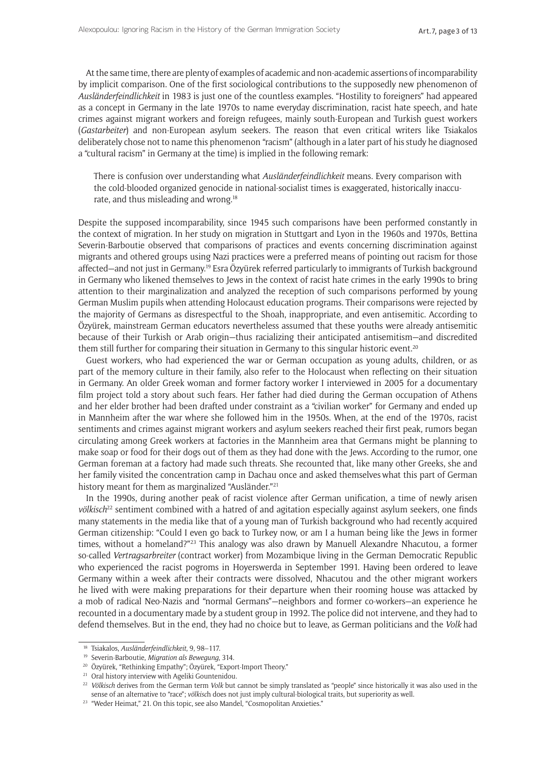At the same time, there are plenty of examples of academic and non-academic assertions of incomparability by implicit comparison. One of the first sociological contributions to the supposedly new phenomenon of *Ausländerfeindlichkeit* in 1983 is just one of the countless examples. "Hostility to foreigners" had appeared as a concept in Germany in the late 1970s to name everyday discrimination, racist hate speech, and hate crimes against migrant workers and foreign refugees, mainly south-European and Turkish guest workers (*Gastarbeiter*) and non-European asylum seekers. The reason that even critical writers like Tsiakalos deliberately chose not to name this phenomenon "racism" (although in a later part of his study he diagnosed a "cultural racism" in Germany at the time) is implied in the following remark:

There is confusion over understanding what *Ausländerfeindlichkeit* means. Every comparison with the cold-blooded organized genocide in national-socialist times is exaggerated, historically inaccurate, and thus misleading and wrong.18

Despite the supposed incomparability, since 1945 such comparisons have been performed constantly in the context of migration. In her study on migration in Stuttgart and Lyon in the 1960s and 1970s, Bettina Severin-Barboutie observed that comparisons of practices and events concerning discrimination against migrants and othered groups using Nazi practices were a preferred means of pointing out racism for those affected—and not just in Germany.19 Esra Özyürek referred particularly to immigrants of Turkish background in Germany who likened themselves to Jews in the context of racist hate crimes in the early 1990s to bring attention to their marginalization and analyzed the reception of such comparisons performed by young German Muslim pupils when attending Holocaust education programs. Their comparisons were rejected by the majority of Germans as disrespectful to the Shoah, inappropriate, and even antisemitic. According to Özyürek, mainstream German educators nevertheless assumed that these youths were already antisemitic because of their Turkish or Arab origin—thus racializing their anticipated antisemitism—and discredited them still further for comparing their situation in Germany to this singular historic event.<sup>20</sup>

Guest workers, who had experienced the war or German occupation as young adults, children, or as part of the memory culture in their family, also refer to the Holocaust when reflecting on their situation in Germany. An older Greek woman and former factory worker I interviewed in 2005 for a documentary film project told a story about such fears. Her father had died during the German occupation of Athens and her elder brother had been drafted under constraint as a "civilian worker" for Germany and ended up in Mannheim after the war where she followed him in the 1950s. When, at the end of the 1970s, racist sentiments and crimes against migrant workers and asylum seekers reached their first peak, rumors began circulating among Greek workers at factories in the Mannheim area that Germans might be planning to make soap or food for their dogs out of them as they had done with the Jews. According to the rumor, one German foreman at a factory had made such threats. She recounted that, like many other Greeks, she and her family visited the concentration camp in Dachau once and asked themselveswhat this part of German history meant for them as marginalized "Ausländer."<sup>21</sup>

In the 1990s, during another peak of racist violence after German unification, a time of newly arisen *völkisch*22 sentiment combined with a hatred of and agitation especially against asylum seekers, one finds many statements in the media like that of a young man of Turkish background who had recently acquired German citizenship: "Could I even go back to Turkey now, or am I a human being like the Jews in former times, without a homeland?"<sup>23</sup> This analogy was also drawn by Manuell Alexandre Nhacutou, a former so-called *Vertragsarbreiter* (contract worker) from Mozambique living in the German Democratic Republic who experienced the racist pogroms in Hoyerswerda in September 1991. Having been ordered to leave Germany within a week after their contracts were dissolved, Nhacutou and the other migrant workers he lived with were making preparations for their departure when their rooming house was attacked by a mob of radical Neo-Nazis and "normal Germans"—neighbors and former co-workers—an experience he recounted in a documentary made by a student group in 1992. The police did not intervene, and they had to defend themselves. But in the end, they had no choice but to leave, as German politicians and the *Volk* had

<sup>18</sup> Tsiakalos, *Ausländerfeindlichkeit*, 9, 98–117.

<sup>19</sup> Severin-Barboutie, *Migration als Bewegung*, 314.

<sup>20</sup> Özyürek, "Rethinking Empathy"; Özyürek, "Export-Import Theory."

<sup>&</sup>lt;sup>21</sup> Oral history interview with Ageliki Gountenidou.

<sup>&</sup>lt;sup>22</sup> Völkisch derives from the German term Volk but cannot be simply translated as "people" since historically it was also used in the sense of an alternative to "race"; *völkisc*h does not just imply cultural-biological traits, but superiority as well.

<sup>&</sup>lt;sup>23</sup> "Weder Heimat," 21. On this topic, see also Mandel, "Cosmopolitan Anxieties."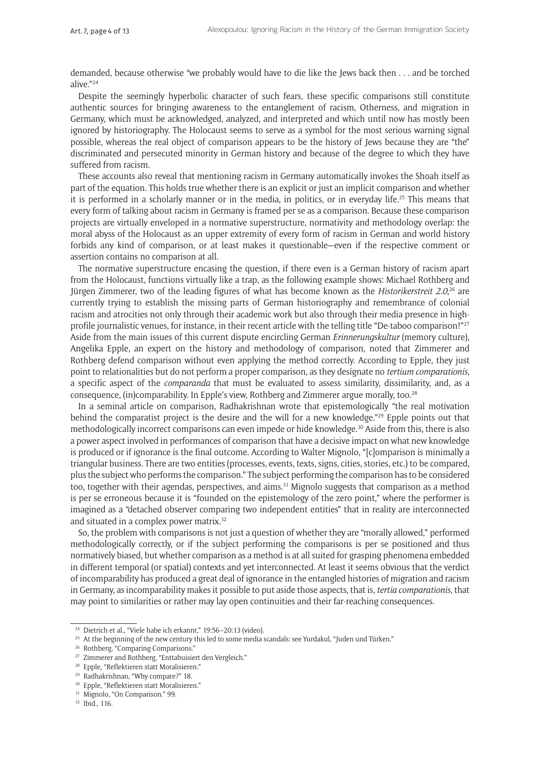demanded, because otherwise "we probably would have to die like the Jews back then . . . and be torched alive."24

Despite the seemingly hyperbolic character of such fears, these specific comparisons still constitute authentic sources for bringing awareness to the entanglement of racism, Otherness, and migration in Germany, which must be acknowledged, analyzed, and interpreted and which until now has mostly been ignored by historiography. The Holocaust seems to serve as a symbol for the most serious warning signal possible, whereas the real object of comparison appears to be the history of Jews because they are "the" discriminated and persecuted minority in German history and because of the degree to which they have suffered from racism.

These accounts also reveal that mentioning racism in Germany automatically invokes the Shoah itself as part of the equation. This holds true whether there is an explicit or just an implicit comparison and whether it is performed in a scholarly manner or in the media, in politics, or in everyday life.<sup>25</sup> This means that every form of talking about racism in Germany is framed per se as a comparison. Because these comparison projects are virtually enveloped in a normative superstructure, normativity and methodology overlap: the moral abyss of the Holocaust as an upper extremity of every form of racism in German and world history forbids any kind of comparison, or at least makes it questionable—even if the respective comment or assertion contains no comparison at all.

The normative superstructure encasing the question, if there even is a German history of racism apart from the Holocaust, functions virtually like a trap, as the following example shows: Michael Rothberg and Jürgen Zimmerer, two of the leading figures of what has become known as the *Historikerstreit 2.0*, 26 are currently trying to establish the missing parts of German historiography and remembrance of colonial racism and atrocities not only through their academic work but also through their media presence in highprofile journalistic venues, for instance, in their recent article with the telling title "De-taboo comparison!"<sup>27</sup> Aside from the main issues of this current dispute encircling German *Erinnerungskultur* (memory culture), Angelika Epple, an expert on the history and methodology of comparison, noted that Zimmerer and Rothberg defend comparison without even applying the method correctly. According to Epple, they just point to relationalities but do not perform a proper comparison, as they designate no *tertium comparationis*, a specific aspect of the *comparanda* that must be evaluated to assess similarity, dissimilarity, and, as a consequence, (in)comparability. In Epple's view, Rothberg and Zimmerer argue morally, too.28

In a seminal article on comparison, Radhakrishnan wrote that epistemologically "the real motivation behind the comparatist project is the desire and the will for a new knowledge."29 Epple points out that methodologically incorrect comparisons can even impede or hide knowledge.30 Aside from this, there is also a power aspect involved in performances of comparison that have a decisive impact on what new knowledge is produced or if ignorance is the final outcome. According to Walter Mignolo, "[c]omparison is minimally a triangular business. There are two entities (processes, events, texts, signs, cities, stories, etc.) to be compared, plus the subject who performs the comparison." The subject performing the comparison has to be considered too, together with their agendas, perspectives, and aims.<sup>31</sup> Mignolo suggests that comparison as a method is per se erroneous because it is "founded on the epistemology of the zero point," where the performer is imagined as a "detached observer comparing two independent entities" that in reality are interconnected and situated in a complex power matrix.<sup>32</sup>

So, the problem with comparisons is not just a question of whether they are "morally allowed," performed methodologically correctly, or if the subject performing the comparisons is per se positioned and thus normatively biased, but whether comparison as a method is at all suited for grasping phenomena embedded in different temporal (or spatial) contexts and yet interconnected. At least it seems obvious that the verdict of incomparability has produced a great deal of ignorance in the entangled histories of migration and racism in Germany, as incomparability makes it possible to put aside those aspects, that is, *tertia comparationis*, that may point to similarities or rather may lay open continuities and their far-reaching consequences.

<sup>24</sup> Dietrich et al., "Viele habe ich erkannt," 19:56–20:13 (video).

<sup>&</sup>lt;sup>25</sup> At the beginning of the new century this led to some media scandals: see Yurdakul, "Juden und Türken."

<sup>&</sup>lt;sup>26</sup> Rothberg, "Comparing Comparisons."

<sup>&</sup>lt;sup>27</sup> Zimmerer and Rothberg, "Enttabuisiert den Vergleich."

<sup>28</sup> Epple, "Reflektieren statt Moralisieren."

<sup>29</sup> Radhakrishnan, "Why compare?" 18.

<sup>30</sup> Epple, "Reflektieren statt Moralisieren."

<sup>&</sup>lt;sup>31</sup> Mignolo, "On Comparison," 99.

<sup>32</sup> Ibid., 116.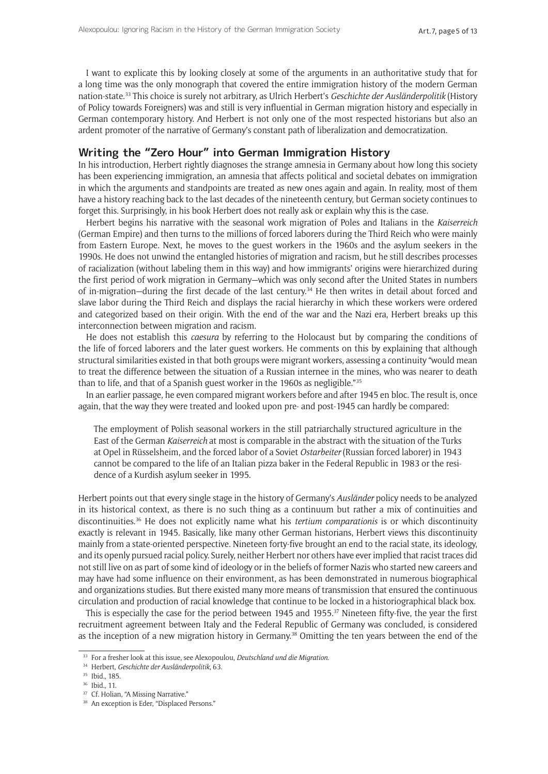I want to explicate this by looking closely at some of the arguments in an authoritative study that for a long time was the only monograph that covered the entire immigration history of the modern German nation-state.33 This choice is surely not arbitrary, as Ulrich Herbert's *Geschichte der Ausländerpolitik* (History of Policy towards Foreigners) was and still is very influential in German migration history and especially in German contemporary history. And Herbert is not only one of the most respected historians but also an ardent promoter of the narrative of Germany's constant path of liberalization and democratization.

## **Writing the "Zero Hour" into German Immigration History**

In his introduction, Herbert rightly diagnoses the strange amnesia in Germany about how long this society has been experiencing immigration, an amnesia that affects political and societal debates on immigration in which the arguments and standpoints are treated as new ones again and again. In reality, most of them have a history reaching back to the last decades of the nineteenth century, but German society continues to forget this. Surprisingly, in his book Herbert does not really ask or explain why this is the case.

Herbert begins his narrative with the seasonal work migration of Poles and Italians in the *Kaiserreich*  (German Empire) and then turns to the millions of forced laborers during the Third Reich who were mainly from Eastern Europe. Next, he moves to the guest workers in the 1960s and the asylum seekers in the 1990s. He does not unwind the entangled histories of migration and racism, but he still describes processes of racialization (without labeling them in this way) and how immigrants' origins were hierarchized during the first period of work migration in Germany—which was only second after the United States in numbers of in-migration—during the first decade of the last century.34 He then writes in detail about forced and slave labor during the Third Reich and displays the racial hierarchy in which these workers were ordered and categorized based on their origin. With the end of the war and the Nazi era, Herbert breaks up this interconnection between migration and racism.

He does not establish this *caesura* by referring to the Holocaust but by comparing the conditions of the life of forced laborers and the later guest workers. He comments on this by explaining that although structural similarities existed in that both groups were migrant workers, assessing a continuity "would mean to treat the difference between the situation of a Russian internee in the mines, who was nearer to death than to life, and that of a Spanish guest worker in the 1960s as negligible."35

In an earlier passage, he even compared migrant workers before and after 1945 en bloc. The result is, once again, that the way they were treated and looked upon pre- and post-1945 can hardly be compared:

The employment of Polish seasonal workers in the still patriarchally structured agriculture in the East of the German *Kaiserreich* at most is comparable in the abstract with the situation of the Turks at Opel in Rüsselsheim, and the forced labor of a Soviet *Ostarbeiter* (Russian forced laborer) in 1943 cannot be compared to the life of an Italian pizza baker in the Federal Republic in 1983 or the residence of a Kurdish asylum seeker in 1995.

Herbert points out that every single stage in the history of Germany's *Ausländer* policy needs to be analyzed in its historical context, as there is no such thing as a continuum but rather a mix of continuities and discontinuities.36 He does not explicitly name what his *tertium comparationis* is or which discontinuity exactly is relevant in 1945. Basically, like many other German historians, Herbert views this discontinuity mainly from a state-oriented perspective. Nineteen forty-five brought an end to the racial state, its ideology, and its openly pursued racial policy. Surely, neither Herbert nor others have ever implied that racist traces did not still live on as part of some kind of ideology or in the beliefs of former Nazis who started new careers and may have had some influence on their environment, as has been demonstrated in numerous biographical and organizations studies. But there existed many more means of transmission that ensured the continuous circulation and production of racial knowledge that continue to be locked in a historiographical black box.

This is especially the case for the period between 1945 and 1955. $\frac{37}{2}$  Nineteen fifty-five, the year the first recruitment agreement between Italy and the Federal Republic of Germany was concluded, is considered as the inception of a new migration history in Germany.38 Omitting the ten years between the end of the

<sup>33</sup> For a fresher look at this issue, see Alexopoulou, *Deutschland und die Migration*.

<sup>34</sup> Herbert, *Geschichte der Ausländerpolitik*, 63.

<sup>35</sup> Ibid., 185.

<sup>36</sup> Ibid., 11.

<sup>&</sup>lt;sup>37</sup> Cf. Holian, "A Missing Narrative."

<sup>&</sup>lt;sup>38</sup> An exception is Eder, "Displaced Persons."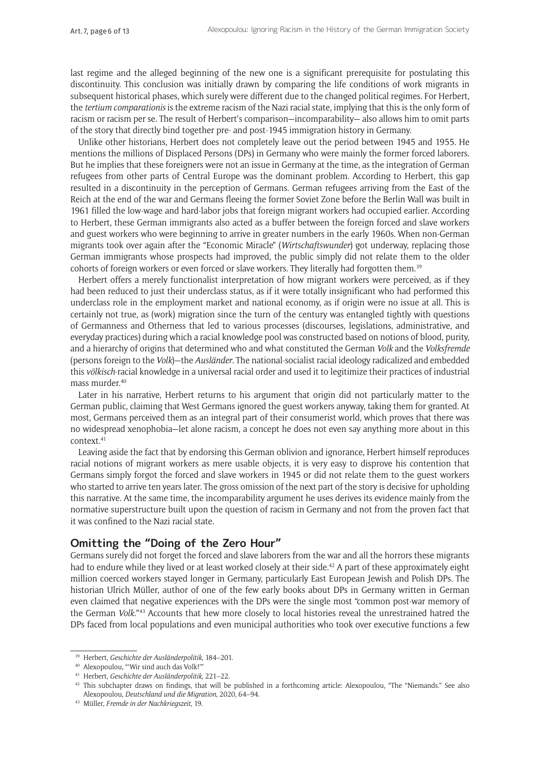last regime and the alleged beginning of the new one is a significant prerequisite for postulating this discontinuity. This conclusion was initially drawn by comparing the life conditions of work migrants in subsequent historical phases, which surely were different due to the changed political regimes. For Herbert, the *tertium comparationis* is the extreme racism of the Nazi racial state, implying that this is the only form of racism or racism per se. The result of Herbert's comparison—incomparability— also allows him to omit parts of the story that directly bind together pre- and post-1945 immigration history in Germany.

Unlike other historians, Herbert does not completely leave out the period between 1945 and 1955. He mentions the millions of Displaced Persons (DPs) in Germany who were mainly the former forced laborers. But he implies that these foreigners were not an issue in Germany at the time, as the integration of German refugees from other parts of Central Europe was the dominant problem. According to Herbert, this gap resulted in a discontinuity in the perception of Germans. German refugees arriving from the East of the Reich at the end of the war and Germans fleeing the former Soviet Zone before the Berlin Wall was built in 1961 filled the low-wage and hard-labor jobs that foreign migrant workers had occupied earlier. According to Herbert, these German immigrants also acted as a buffer between the foreign forced and slave workers and guest workers who were beginning to arrive in greater numbers in the early 1960s. When non-German migrants took over again after the "Economic Miracle" (*Wirtschaftswunder*) got underway, replacing those German immigrants whose prospects had improved, the public simply did not relate them to the older cohorts of foreign workers or even forced or slave workers. They literally had forgotten them.39

Herbert offers a merely functionalist interpretation of how migrant workers were perceived, as if they had been reduced to just their underclass status, as if it were totally insignificant who had performed this underclass role in the employment market and national economy, as if origin were no issue at all. This is certainly not true, as (work) migration since the turn of the century was entangled tightly with questions of Germanness and Otherness that led to various processes (discourses, legislations, administrative, and everyday practices) during which a racial knowledge pool was constructed based on notions of blood, purity, and a hierarchy of origins that determined who and what constituted the German *Volk* and the *Volksfremde* (persons foreign to the *Volk*)—the *Ausländer*. The national-socialist racial ideology radicalized and embedded this *völkisch*-racial knowledge in a universal racial order and used it to legitimize their practices of industrial mass murder.<sup>40</sup>

Later in his narrative, Herbert returns to his argument that origin did not particularly matter to the German public, claiming that West Germans ignored the guest workers anyway, taking them for granted. At most, Germans perceived them as an integral part of their consumerist world, which proves that there was no widespread xenophobia—let alone racism, a concept he does not even say anything more about in this context.41

Leaving aside the fact that by endorsing this German oblivion and ignorance, Herbert himself reproduces racial notions of migrant workers as mere usable objects, it is very easy to disprove his contention that Germans simply forgot the forced and slave workers in 1945 or did not relate them to the guest workers who started to arrive ten years later. The gross omission of the next part of the story is decisive for upholding this narrative. At the same time, the incomparability argument he uses derives its evidence mainly from the normative superstructure built upon the question of racism in Germany and not from the proven fact that it was confined to the Nazi racial state.

# **Omitting the "Doing of the Zero Hour"**

Germans surely did not forget the forced and slave laborers from the war and all the horrors these migrants had to endure while they lived or at least worked closely at their side.<sup>42</sup> A part of these approximately eight million coerced workers stayed longer in Germany, particularly East European Jewish and Polish DPs. The historian Ulrich Müller, author of one of the few early books about DPs in Germany written in German even claimed that negative experiences with the DPs were the single most "common post-war memory of the German *Volk.*"43 Accounts that hew more closely to local histories reveal the unrestrained hatred the DPs faced from local populations and even municipal authorities who took over executive functions a few

<sup>39</sup> Herbert, *Geschichte der Ausländerpolitik*, 184–201.

<sup>40</sup> Alexopoulou, "'Wir sind auch das Volk!'"

<sup>41</sup> Herbert, *Geschichte der Ausländerpolitik*, 221–22.

<sup>42</sup> This subchapter draws on findings, that will be published in a forthcoming article: Alexopoulou, "The "Niemands." See also Alexopoulou, *Deutschland und die Migration*, 2020, 64–94.

<sup>43</sup> Müller, *Fremde in der Nachkriegszeit*, 19.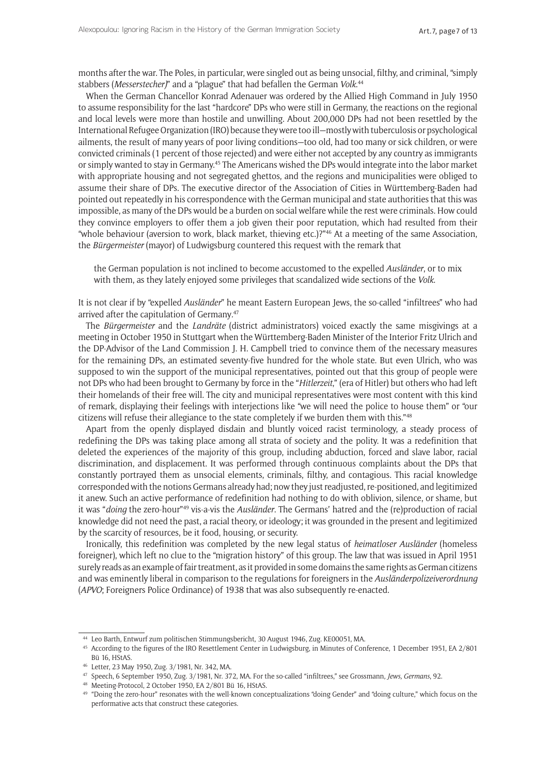months after the war. The Poles, in particular, were singled out as being unsocial, filthy, and criminal, "simply stabbers (*Messerstecher)*" and a "plague" that had befallen the German *Volk*. 44

When the German Chancellor Konrad Adenauer was ordered by the Allied High Command in July 1950 to assume responsibility for the last "hardcore" DPs who were still in Germany, the reactions on the regional and local levels were more than hostile and unwilling. About 200,000 DPs had not been resettled by the International Refugee Organization (IRO) because they were too ill—mostly with tuberculosis or psychological ailments, the result of many years of poor living conditions—too old, had too many or sick children, or were convicted criminals (1 percent of those rejected) and were either not accepted by any country as immigrants or simply wanted to stay in Germany.45 The Americans wished the DPs would integrate into the labor market with appropriate housing and not segregated ghettos, and the regions and municipalities were obliged to assume their share of DPs*.* The executive director of the Association of Cities in Württemberg-Baden had pointed out repeatedly in his correspondence with the German municipal and state authorities that this was impossible, as many of the DPs would be a burden on social welfare while the rest were criminals. How could they convince employers to offer them a job given their poor reputation, which had resulted from their "whole behaviour (aversion to work, black market, thieving etc.)?"<sup>46</sup> At a meeting of the same Association, the *Bürgermeister* (mayor) of Ludwigsburg countered this request with the remark that

the German population is not inclined to become accustomed to the expelled *Ausländer*, or to mix with them, as they lately enjoyed some privileges that scandalized wide sections of the *Volk*.

It is not clear if by "expelled *Ausländer*" he meant Eastern European Jews, the so-called "infiltrees" who had arrived after the capitulation of Germany*.* 47

The *Bürgermeister* and the *Landräte* (district administrators) voiced exactly the same misgivings at a meeting in October 1950 in Stuttgart when the Württemberg-Baden Minister of the Interior Fritz Ulrich and the DP-Advisor of the Land Commission J. H. Campbell tried to convince them of the necessary measures for the remaining DPs, an estimated seventy-five hundred for the whole state. But even Ulrich, who was supposed to win the support of the municipal representatives, pointed out that this group of people were not DPs who had been brought to Germany by force in the "*Hitlerzeit*," (era of Hitler) but others who had left their homelands of their free will. The city and municipal representatives were most content with this kind of remark, displaying their feelings with interjections like "we will need the police to house them" or "our citizens will refuse their allegiance to the state completely if we burden them with this."48

Apart from the openly displayed disdain and bluntly voiced racist terminology, a steady process of redefining the DPs was taking place among all strata of society and the polity. It was a redefinition that deleted the experiences of the majority of this group, including abduction, forced and slave labor, racial discrimination, and displacement. It was performed through continuous complaints about the DPs that constantly portrayed them as unsocial elements, criminals, filthy, and contagious. This racial knowledge corresponded with the notions Germans already had; now they just readjusted, re-positioned, and legitimized it anew. Such an active performance of redefinition had nothing to do with oblivion, silence, or shame, but it was "*doing* the zero-hour"49 vis-a-vis the *Ausländer*. The Germans' hatred and the (re)production of racial knowledge did not need the past, a racial theory, or ideology; it was grounded in the present and legitimized by the scarcity of resources, be it food, housing, or security.

Ironically, this redefinition was completed by the new legal status of *heimatloser Ausländer* (homeless foreigner), which left no clue to the "migration history" of this group. The law that was issued in April 1951 surely reads as an example of fair treatment, as it provided in some domains the same rights as German citizens and was eminently liberal in comparison to the regulations for foreigners in the *Ausländerpolizeiverordnung* (*APVO*; Foreigners Police Ordinance) of 1938 that was also subsequently re-enacted.

<sup>44</sup> Leo Barth, Entwurf zum politischen Stimmungsbericht, 30 August 1946, Zug. KE00051, MA.

<sup>45</sup> According to the figures of the IRO Resettlement Center in Ludwigsburg, in Minutes of Conference, 1 December 1951, EA 2/801 Bü 16, HStAS.

<sup>46</sup> Letter, 23 May 1950, Zug. 3/1981, Nr. 342, MA.

<sup>47</sup> Speech, 6 September 1950, Zug. 3/1981, Nr. 372, MA. For the so-called "infiltrees," see Grossmann, *Jews, Germans*, 92.

<sup>48</sup> Meeting-Protocol, 2 October 1950, EA 2/801 Bü 16, HStAS.

<sup>49</sup> "Doing the zero-hour" resonates with the well-known conceptualizations "doing Gender" and "doing culture," which focus on the performative acts that construct these categories.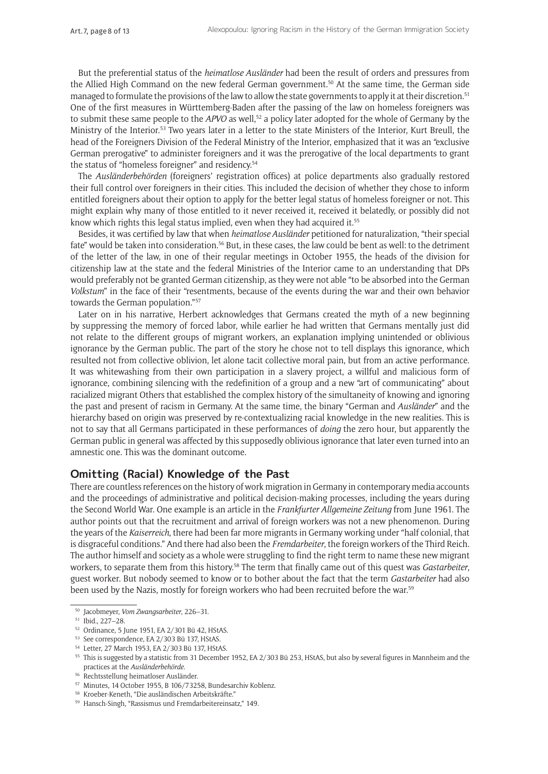But the preferential status of the *heimatlose Ausländer* had been the result of orders and pressures from the Allied High Command on the new federal German government.50 At the same time, the German side managed to formulate the provisions of the law to allow the state governments to apply it at their discretion.<sup>51</sup> One of the first measures in Württemberg-Baden after the passing of the law on homeless foreigners was to submit these same people to the *APVO* as well,52 a policy later adopted for the whole of Germany by the Ministry of the Interior.53 Two years later in a letter to the state Ministers of the Interior, Kurt Breull, the head of the Foreigners Division of the Federal Ministry of the Interior, emphasized that it was an "exclusive German prerogative" to administer foreigners and it was the prerogative of the local departments to grant the status of "homeless foreigner" and residency.<sup>54</sup>

The *Ausländerbehörden* (foreigners' registration offices) at police departments also gradually restored their full control over foreigners in their cities. This included the decision of whether they chose to inform entitled foreigners about their option to apply for the better legal status of homeless foreigner or not. This might explain why many of those entitled to it never received it, received it belatedly, or possibly did not know which rights this legal status implied, even when they had acquired it.<sup>55</sup>

Besides, it was certified by law that when *heimatlose Ausländer* petitioned for naturalization, "their special fate" would be taken into consideration.<sup>56</sup> But, in these cases, the law could be bent as well: to the detriment of the letter of the law, in one of their regular meetings in October 1955, the heads of the division for citizenship law at the state and the federal Ministries of the Interior came to an understanding that DPs would preferably not be granted German citizenship, as they were not able "to be absorbed into the German *Volkstum*" in the face of their "resentments, because of the events during the war and their own behavior towards the German population."57

Later on in his narrative, Herbert acknowledges that Germans created the myth of a new beginning by suppressing the memory of forced labor, while earlier he had written that Germans mentally just did not relate to the different groups of migrant workers, an explanation implying unintended or oblivious ignorance by the German public. The part of the story he chose not to tell displays this ignorance, which resulted not from collective oblivion, let alone tacit collective moral pain, but from an active performance. It was whitewashing from their own participation in a slavery project, a willful and malicious form of ignorance, combining silencing with the redefinition of a group and a new "art of communicating" about racialized migrant Others that established the complex history of the simultaneity of knowing and ignoring the past and present of racism in Germany. At the same time, the binary "German and *Ausländer*" and the hierarchy based on origin was preserved by re-contextualizing racial knowledge in the new realities. This is not to say that all Germans participated in these performances of *doing* the zero hour, but apparently the German public in general was affected by this supposedly oblivious ignorance that later even turned into an amnestic one. This was the dominant outcome.

### **Omitting (Racial) Knowledge of the Past**

There are countless references on the history of work migration in Germany in contemporary media accounts and the proceedings of administrative and political decision-making processes, including the years during the Second World War. One example is an article in the *Frankfurter Allgemeine Zeitung* from June 1961. The author points out that the recruitment and arrival of foreign workers was not a new phenomenon. During the years of the *Kaiserreich*, there had been far more migrants in Germany working under "half colonial, that is disgraceful conditions." And there had also been the *Fremdarbeiter*, the foreign workers of the Third Reich. The author himself and society as a whole were struggling to find the right term to name these new migrant workers, to separate them from this history.58 The term that finally came out of this quest was *Gastarbeiter*, guest worker. But nobody seemed to know or to bother about the fact that the term *Gastarbeiter* had also been used by the Nazis, mostly for foreign workers who had been recruited before the war.59

<sup>50</sup> Jacobmeyer, *Vom Zwangsarbeiter*, 226–31.

<sup>51</sup> Ibid., 227–28.

<sup>52</sup> Ordinance, 5 June 1951, EA 2/301 Bü 42, HStAS.

<sup>53</sup> See correspondence, EA 2/303 Bü 137, HStAS.

<sup>54</sup> Letter, 27 March 1953, EA 2/303 Bü 137, HStAS.

<sup>&</sup>lt;sup>55</sup> This is suggested by a statistic from 31 December 1952, EA 2/303 Bü 253, HStAS, but also by several figures in Mannheim and the practices at the *Ausländerbehörde*.

<sup>56</sup> Rechtsstellung heimatloser Ausländer.

<sup>57</sup> Minutes, 14 October 1955, B 106/73258, Bundesarchiv Koblenz.

<sup>58</sup> Kroeber-Keneth, "Die ausländischen Arbeitskräfte."

<sup>59</sup> Hansch-Singh, "Rassismus und Fremdarbeitereinsatz," 149.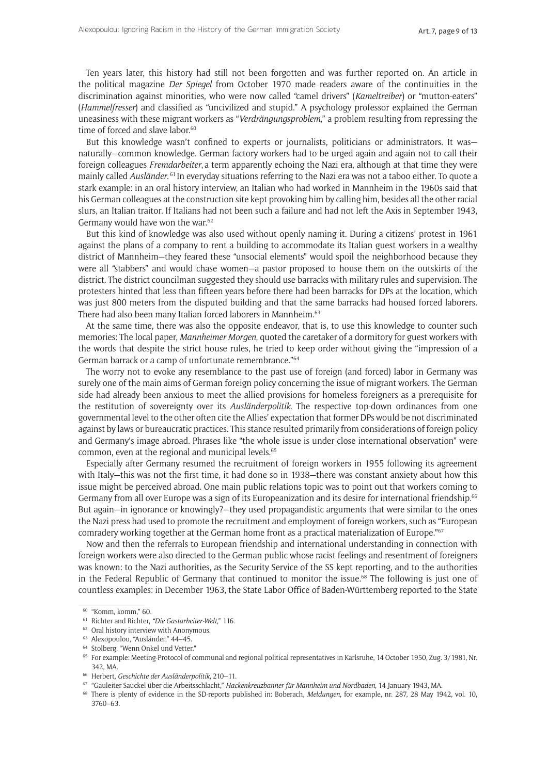Ten years later, this history had still not been forgotten and was further reported on. An article in the political magazine *Der Spiegel* from October 1970 made readers aware of the continuities in the discrimination against minorities, who were now called "camel drivers" (*Kameltreiber*) or "mutton-eaters" (*Hammelfresser*) and classified as "uncivilized and stupid." A psychology professor explained the German uneasiness with these migrant workers as "*Verdrängungsproblem*," a problem resulting from repressing the time of forced and slave labor.<sup>60</sup>

But this knowledge wasn't confined to experts or journalists, politicians or administrators. It was naturally—common knowledge. German factory workers had to be urged again and again not to call their foreign colleagues *Fremdarbeiter*, a term apparently echoing the Nazi era, although at that time they were mainly called *Ausländer*. <sup>61</sup> In everyday situations referring to the Nazi era was not a taboo either. To quote a stark example: in an oral history interview, an Italian who had worked in Mannheim in the 1960s said that his German colleagues at the construction site kept provoking him by calling him, besides all the other racial slurs, an Italian traitor. If Italians had not been such a failure and had not left the Axis in September 1943, Germany would have won the war.<sup>62</sup>

But this kind of knowledge was also used without openly naming it. During a citizens' protest in 1961 against the plans of a company to rent a building to accommodate its Italian guest workers in a wealthy district of Mannheim—they feared these "unsocial elements" would spoil the neighborhood because they were all "stabbers" and would chase women—a pastor proposed to house them on the outskirts of the district. The district councilman suggested they should use barracks with military rules and supervision. The protesters hinted that less than fifteen years before there had been barracks for DPs at the location, which was just 800 meters from the disputed building and that the same barracks had housed forced laborers. There had also been many Italian forced laborers in Mannheim.63

At the same time, there was also the opposite endeavor, that is, to use this knowledge to counter such memories: The local paper, *Mannheimer Morgen*, quoted the caretaker of a dormitory for guest workers with the words that despite the strict house rules, he tried to keep order without giving the "impression of a German barrack or a camp of unfortunate remembrance."64

The worry not to evoke any resemblance to the past use of foreign (and forced) labor in Germany was surely one of the main aims of German foreign policy concerning the issue of migrant workers. The German side had already been anxious to meet the allied provisions for homeless foreigners as a prerequisite for the restitution of sovereignty over its *Ausländerpolitik*. The respective top-down ordinances from one governmental level to the other often cite the Allies' expectation that former DPs would be not discriminated against by laws or bureaucratic practices. This stance resulted primarily from considerations of foreign policy and Germany's image abroad. Phrases like "the whole issue is under close international observation" were common, even at the regional and municipal levels.65

Especially after Germany resumed the recruitment of foreign workers in 1955 following its agreement with Italy—this was not the first time, it had done so in 1938—there was constant anxiety about how this issue might be perceived abroad. One main public relations topic was to point out that workers coming to Germany from all over Europe was a sign of its Europeanization and its desire for international friendship.<sup>66</sup> But again—in ignorance or knowingly?—they used propagandistic arguments that were similar to the ones the Nazi press had used to promote the recruitment and employment of foreign workers, such as "European comradery working together at the German home front as a practical materialization of Europe."67

Now and then the referrals to European friendship and international understanding in connection with foreign workers were also directed to the German public whose racist feelings and resentment of foreigners was known: to the Nazi authorities, as the Security Service of the SS kept reporting, and to the authorities in the Federal Republic of Germany that continued to monitor the issue.<sup>68</sup> The following is just one of countless examples: in December 1963, the State Labor Office of Baden-Württemberg reported to the State

<sup>60</sup> "Komm, komm," 60.

<sup>61</sup> Richter and Richter, *"Die Gastarbeiter-Welt*," 116.

<sup>&</sup>lt;sup>62</sup> Oral history interview with Anonymous.

<sup>63</sup> Alexopoulou, "Ausländer," 44–45.

<sup>&</sup>lt;sup>64</sup> Stolberg, "Wenn Onkel und Vetter."

<sup>65</sup> For example: Meeting-Protocol of communal and regional political representatives in Karlsruhe, 14 October 1950, Zug. 3/1981, Nr. 342, MA.

<sup>66</sup> Herbert, *Geschichte der Ausländerpolitik*, 210–11.

<sup>67</sup> "Gauleiter Sauckel über die Arbeitsschlacht," *Hackenkreuzbanner für Mannheim und Nordbaden*, 14 January 1943, MA.

<sup>68</sup> There is plenty of evidence in the SD-reports published in: Boberach, *Meldungen*, for example, nr. 287, 28 May 1942, vol. 10, 3760–63.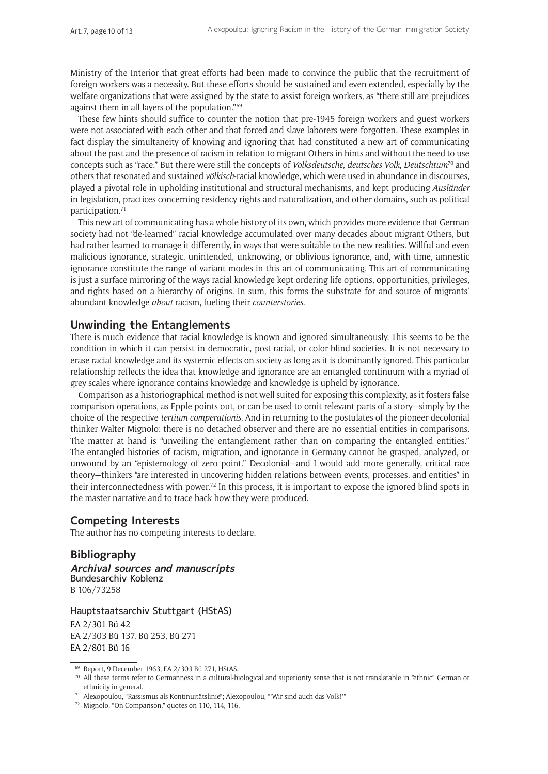Ministry of the Interior that great efforts had been made to convince the public that the recruitment of foreign workers was a necessity. But these efforts should be sustained and even extended, especially by the welfare organizations that were assigned by the state to assist foreign workers, as "there still are prejudices against them in all layers of the population."69

These few hints should suffice to counter the notion that pre-1945 foreign workers and guest workers were not associated with each other and that forced and slave laborers were forgotten. These examples in fact display the simultaneity of knowing and ignoring that had constituted a new art of communicating about the past and the presence of racism in relation to migrant Others in hints and without the need to use concepts such as "race." But there were still the concepts of *Volksdeutsche*, *deutsches Volk*, *Deutschtum*70 and others that resonated and sustained *völkisch*-racial knowledge, which were used in abundance in discourses, played a pivotal role in upholding institutional and structural mechanisms, and kept producing *Ausländer* in legislation, practices concerning residency rights and naturalization, and other domains, such as political participation.<sup>71</sup>

This new art of communicating has a whole history of its own, which provides more evidence that German society had not "de-learned" racial knowledge accumulated over many decades about migrant Others, but had rather learned to manage it differently, in ways that were suitable to the new realities. Willful and even malicious ignorance, strategic, unintended, unknowing, or oblivious ignorance, and, with time, amnestic ignorance constitute the range of variant modes in this art of communicating. This art of communicating is just a surface mirroring of the ways racial knowledge kept ordering life options, opportunities, privileges, and rights based on a hierarchy of origins. In sum, this forms the substrate for and source of migrants' abundant knowledge *about* racism, fueling their *counterstories*.

#### **Unwinding the Entanglements**

There is much evidence that racial knowledge is known and ignored simultaneously. This seems to be the condition in which it can persist in democratic, post-racial, or color-blind societies. It is not necessary to erase racial knowledge and its systemic effects on society as long as it is dominantly ignored. This particular relationship reflects the idea that knowledge and ignorance are an entangled continuum with a myriad of grey scales where ignorance contains knowledge and knowledge is upheld by ignorance.

Comparison as a historiographical method is not well suited for exposing this complexity, as it fosters false comparison operations, as Epple points out, or can be used to omit relevant parts of a story—simply by the choice of the respective *tertium comperationis*. And in returning to the postulates of the pioneer decolonial thinker Walter Mignolo: there is no detached observer and there are no essential entities in comparisons. The matter at hand is "unveiling the entanglement rather than on comparing the entangled entities." The entangled histories of racism, migration, and ignorance in Germany cannot be grasped, analyzed, or unwound by an "epistemology of zero point." Decolonial—and I would add more generally, critical race theory—thinkers "are interested in uncovering hidden relations between events, processes, and entities" in their interconnectedness with power.72 In this process, it is important to expose the ignored blind spots in the master narrative and to trace back how they were produced.

#### **Competing Interests**

The author has no competing interests to declare.

### **Bibliography**

**Archival sources and manuscripts** Bundesarchiv Koblenz B 106/73258

#### Hauptstaatsarchiv Stuttgart (HStAS)

EA 2/301 Bü 42 EA 2/303 Bü 137, Bü 253, Bü 271 EA 2/801 Bü 16

<sup>69</sup> Report, 9 December 1963, EA 2/303 Bü 271, HStAS.

 $70$  All these terms refer to Germanness in a cultural-biological and superiority sense that is not translatable in "ethnic" German or ethnicity in general.

<sup>71</sup> Alexopoulou, "Rassismus als Kontinuitätslinie"; Alexopoulou, "'Wir sind auch das Volk!'"

<sup>72</sup> Mignolo, "On Comparison," quotes on 110, 114, 116.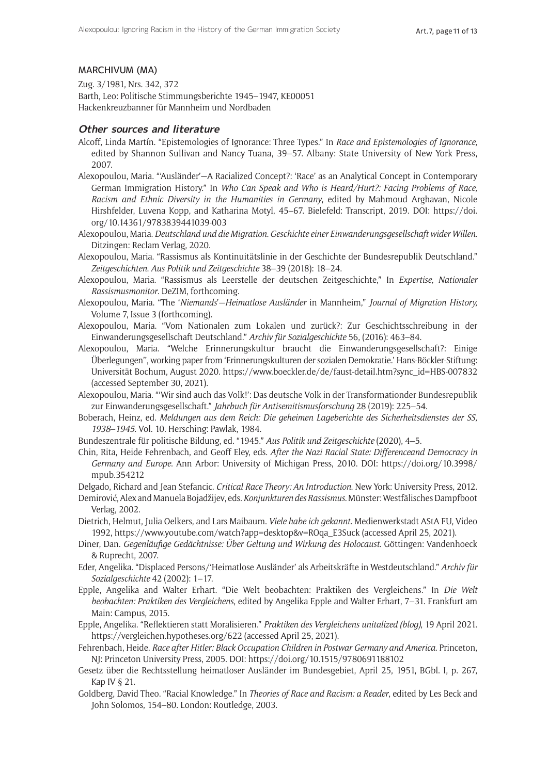#### MARCHIVUM (MA)

Zug. 3/1981, Nrs. 342, 372 Barth, Leo: Politische Stimmungsberichte 1945–1947, KE00051 Hackenkreuzbanner für Mannheim und Nordbaden

#### **Other sources and literature**

- Alcoff, Linda Martín. "Epistemologies of Ignorance: Three Types." In *Race and Epistemologies of Ignorance*, edited by Shannon Sullivan and Nancy Tuana, 39–57. Albany: State University of New York Press, 2007.
- Alexopoulou, Maria. "'Ausländer'—A Racialized Concept?: 'Race' as an Analytical Concept in Contemporary German Immigration History." In *Who Can Speak and Who is Heard/Hurt?: Facing Problems of Race, Racism and Ethnic Diversity in the Humanities in Germany*, edited by Mahmoud Arghavan, Nicole Hirshfelder, Luvena Kopp, and Katharina Motyl, 45–67. Bielefeld: Transcript, 2019. DOI: [https://doi.](https://doi.org/10.14361/9783839441039-003) [org/10.14361/9783839441039-003](https://doi.org/10.14361/9783839441039-003)
- Alexopoulou, Maria. *Deutschland und die Migration*. *Geschichte einer Einwanderungsgesellschaft wider Willen.* Ditzingen: Reclam Verlag, 2020.
- Alexopoulou, Maria. "Rassismus als Kontinuitätslinie in der Geschichte der Bundesrepublik Deutschland." *Zeitgeschichten*. *Aus Politik und Zeitgeschichte* 38–39 (2018): 18–24.
- Alexopoulou, Maria. "Rassismus als Leerstelle der deutschen Zeitgeschichte," In *Expertise, Nationaler Rassismusmonitor*. DeZIM, forthcoming.
- Alexopoulou, Maria. "The '*Niemands*'—*Heimatlose Ausländer* in Mannheim," *Journal of Migration History,* Volume 7, Issue 3 (forthcoming).
- Alexopoulou, Maria. "Vom Nationalen zum Lokalen und zurück?: Zur Geschichtsschreibung in der Einwanderungsgesellschaft Deutschland." *Archiv für Sozialgeschichte* 56, (2016): 463–84.
- Alexopoulou, Maria. "Welche Erinnerungskultur braucht die Einwanderungsgesellschaft?: Einige Überlegungen'', working paper from 'Erinnerungskulturen der sozialen Demokratie.' Hans-Böckler-Stiftung: Universität Bochum, August 2020. [https://www.boeckler.de/de/faust-detail.htm?sync\\_id=HBS-007832](https://www.boeckler.de/de/faust-detail.htm?sync_id=HBS-007832) (accessed September 30, 2021).
- Alexopoulou, Maria. "'Wir sind auch das Volk!': Das deutsche Volk in der Transformationder Bundesrepublik zur Einwanderungsgesellschaft." *Jahrbuch für Antisemitismusforschung* 28 (2019): 225–54.
- Boberach, Heinz, ed. *Meldungen aus dem Reich: Die geheimen Lageberichte des Sicherheitsdienstes der SS, 1938*–*1945*. Vol. 10. Hersching: Pawlak, 1984.
- Bundeszentrale für politische Bildung, ed. "1945." *Aus Politik und Zeitgeschichte* (2020), 4–5.
- Chin, Rita, Heide Fehrenbach, and Geoff Eley, eds. *After the Nazi Racial State: Differenceand Democracy in Germany and Europe*. Ann Arbor: University of Michigan Press, 2010. DOI: [https://doi.org/10.3998/](https://doi.org/10.3998/mpub.354212) [mpub.354212](https://doi.org/10.3998/mpub.354212)

Delgado, Richard and Jean Stefancic. *Critical Race Theory: An Introduction*. New York: University Press, 2012.

- Demirović, Alex and Manuela Bojadžijev, eds. *Konjunkturen des Rassismus*. Münster: Westfälisches Dampfboot Verlag, 2002.
- Dietrich, Helmut, Julia Oelkers, and Lars Maibaum. *Viele habe ich gekannt.* Medienwerkstadt AStA FU, Video 1992, [https://www.youtube.com/watch?app=desktop&v=ROqa\\_E3Suck](https://www.youtube.com/watch?app=desktop&v=ROqa_E3Suck) (accessed April 25, 2021).
- Diner, Dan. *Gegenläufige Gedächtnisse: Über Geltung und Wirkung des Holocaust*. Göttingen: Vandenhoeck & Ruprecht, 2007.
- Eder, Angelika. "Displaced Persons/'Heimatlose Ausländer' als Arbeitskräfte in Westdeutschland." *Archiv für Sozialgeschichte* 42 (2002): 1–17.
- Epple, Angelika and Walter Erhart. "Die Welt beobachten: Praktiken des Vergleichens." In *Die Welt beobachten: Praktiken des Vergleichens*, edited by Angelika Epple and Walter Erhart, 7–31. Frankfurt am Main: Campus, 2015.
- Epple, Angelika. "Reflektieren statt Moralisieren." *Praktiken des Vergleichens unitalized (blog)*, 19 April 2021. <https://vergleichen.hypotheses.org/622> (accessed April 25, 2021).
- Fehrenbach, Heide. *Race after Hitler: Black Occupation Children in Postwar Germany and America*. Princeton, NJ: Princeton University Press, 2005. DOI: <https://doi.org/10.1515/9780691188102>
- Gesetz über die Rechtsstellung heimatloser Ausländer im Bundesgebiet, April 25, 1951, BGbl. I, p. 267, Kap IV § 21.
- Goldberg, David Theo. "Racial Knowledge." In *Theories of Race and Racism: a Reader*, edited by Les Beck and John Solomos, 154–80. London: Routledge, 2003.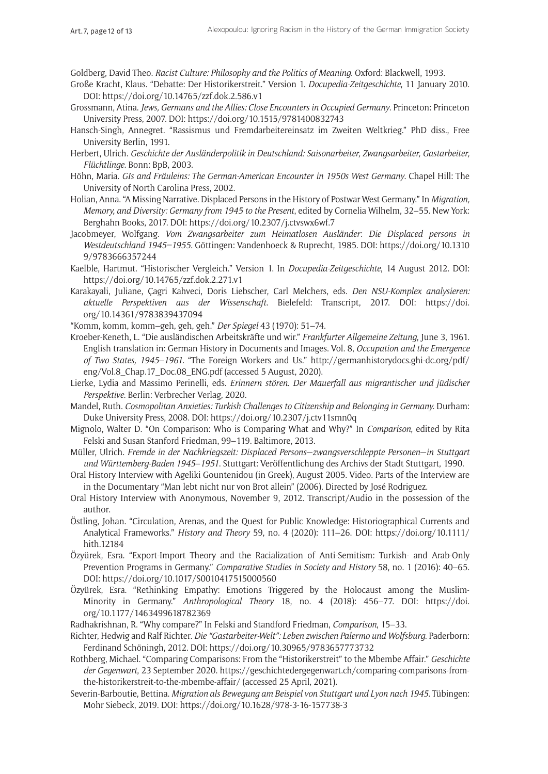Goldberg, David Theo. *Racist Culture: Philosophy and the Politics of Meaning*. Oxford: Blackwell, 1993.

- Große Kracht, Klaus. "Debatte: Der Historikerstreit." Version 1. *Docupedia-Zeitgeschichte*, 11 January 2010. DOI:<https://doi.org/10.14765/zzf.dok.2.586.v1>
- Grossmann, Atina. *Jews, Germans and the Allies: Close Encounters in Occupied Germany*. Princeton: Princeton University Press, 2007. DOI:<https://doi.org/10.1515/9781400832743>
- Hansch-Singh, Annegret. "Rassismus und Fremdarbeitereinsatz im Zweiten Weltkrieg." PhD diss., Free University Berlin, 1991.
- Herbert, Ulrich. *Geschichte der Ausländerpolitik in Deutschland: Saisonarbeiter, Zwangsarbeiter, Gastarbeiter, Flüchtlinge*. Bonn: BpB, 2003.
- Höhn, Maria. *GIs and Fräuleins: The German-American Encounter in 1950s West Germany*. Chapel Hill: The University of North Carolina Press, 2002.
- Holian, Anna. "A Missing Narrative. Displaced Persons in the History of Postwar West Germany." In *Migration, Memory, and Diversity: Germany from 1945 to the Present*, edited by Cornelia Wilhelm, 32–55. New York: Berghahn Books, 2017. DOI: <https://doi.org/10.2307/j.ctvswx6wf.7>
- Jacobmeyer, Wolfgang. *Vom Zwangsarbeiter zum Heimatlosen Ausländer*: *Die Displaced persons in Westdeutschland 1945–1955.* Göttingen: Vandenhoeck & Ruprecht, 1985. DOI: [https://doi.org/10.1310](https://doi.org/10.13109/9783666357244) [9/9783666357244](https://doi.org/10.13109/9783666357244)
- Kaelble, Hartmut. "Historischer Vergleich." Version 1. In *Docupedia-Zeitgeschichte*, 14 August 2012. DOI: <https://doi.org/10.14765/zzf.dok.2.271.v1>
- Karakayali, Juliane, Çagri Kahveci, Doris Liebscher, Carl Melchers, eds. *Den NSU-Komplex analysieren: aktuelle Perspektiven aus der Wissenschaft*. Bielefeld: Transcript, 2017. DOI: [https://doi.](https://doi.org/10.14361/9783839437094) [org/10.14361/9783839437094](https://doi.org/10.14361/9783839437094)
- "Komm, komm, komm–geh, geh, geh." *Der Spiegel* 43 (1970): 51–74.
- Kroeber-Keneth, L. "Die ausländischen Arbeitskräfte und wir." *Frankfurter Allgemeine Zeitung*, June 3, 1961. English translation in: German History in Documents and Images. Vol. 8, *Occupation and the Emergence of Two States, 1945*–*1961.* "The Foreign Workers and Us." [http://germanhistorydocs.ghi-dc.org/pdf/](http://germanhistorydocs.ghi-dc.org/pdf/eng/Vol.8_Chap.17_Doc.08_ENG.pdf) [eng/Vol.8\\_Chap.17\\_Doc.08\\_ENG.pdf](http://germanhistorydocs.ghi-dc.org/pdf/eng/Vol.8_Chap.17_Doc.08_ENG.pdf) (accessed 5 August, 2020).
- Lierke, Lydia and Massimo Perinelli, eds. *Erinnern stören. Der Mauerfall aus migrantischer und jüdischer Perspektive.* Berlin: Verbrecher Verlag, 2020.
- Mandel, Ruth. *Cosmopolitan Anxieties: Turkish Challenges to Citizenship and Belonging in Germany.* Durham: Duke University Press, 2008. DOI: <https://doi.org/10.2307/j.ctv11smn0q>
- Mignolo, Walter D. "On Comparison: Who is Comparing What and Why?" In *Comparison*, edited by Rita Felski and Susan Stanford Friedman, 99–119. Baltimore, 2013.
- Müller, Ulrich. *Fremde in der Nachkriegszeit: Displaced Persons*—*zwangsverschleppte Personen*—*in Stuttgart und Württemberg-Baden 1945*–*1951*. Stuttgart: Veröffentlichung des Archivs der Stadt Stuttgart, 1990.
- Oral History Interview with Ageliki Gountenidou (in Greek), August 2005. Video. Parts of the Interview are in the Documentary "Man lebt nicht nur von Brot allein" (2006). Directed by José Rodriguez.
- Oral History Interview with Anonymous, November 9, 2012. Transcript/Audio in the possession of the author.
- Östling, Johan. "Circulation, Arenas, and the Quest for Public Knowledge: Historiographical Currents and Analytical Frameworks." *History and Theory* 59, no. 4 (2020): 111–26. DOI: [https://doi.org/10.1111/](https://doi.org/10.1111/hith.12184) [hith.12184](https://doi.org/10.1111/hith.12184)
- Özyürek, Esra. "Export-Import Theory and the Racialization of Anti-Semitism: Turkish- and Arab-Only Prevention Programs in Germany." *Comparative Studies in Society and History* 58, no. 1 (2016): 40–65. DOI:<https://doi.org/10.1017/S0010417515000560>
- Özyürek, Esra. "Rethinking Empathy: Emotions Triggered by the Holocaust among the Muslim-Minority in Germany." *Anthropological Theory* 18, no. 4 (2018): 456–77. DOI: [https://doi.](https://doi.org/10.1177/1463499618782369) [org/10.1177/1463499618782369](https://doi.org/10.1177/1463499618782369)
- Radhakrishnan, R. "Why compare?" In Felski and Standford Friedman, *Comparison*, 15–33.
- Richter, Hedwig and Ralf Richter. *Die "Gastarbeiter-Welt": Leben zwischen Palermo und Wolfsburg*. Paderborn: Ferdinand Schöningh, 2012. DOI: <https://doi.org/10.30965/9783657773732>
- Rothberg, Michael. "Comparing Comparisons: From the "Historikerstreit" to the Mbembe Affair." *Geschichte der Gegenwart*, 23 September 2020. [https://geschichtedergegenwart.ch/comparing-comparisons-from](https://geschichtedergegenwart.ch/comparing-comparisons-from-the-historikerstreit-to-the-mbembe-affair/)[the-historikerstreit-to-the-mbembe-affair/](https://geschichtedergegenwart.ch/comparing-comparisons-from-the-historikerstreit-to-the-mbembe-affair/) (accessed 25 April, 2021).
- Severin-Barboutie, Bettina. *Migration als Bewegung am Beispiel von Stuttgart und Lyon nach 1945*. Tübingen: Mohr Siebeck, 2019. DOI: <https://doi.org/10.1628/978-3-16-157738-3>